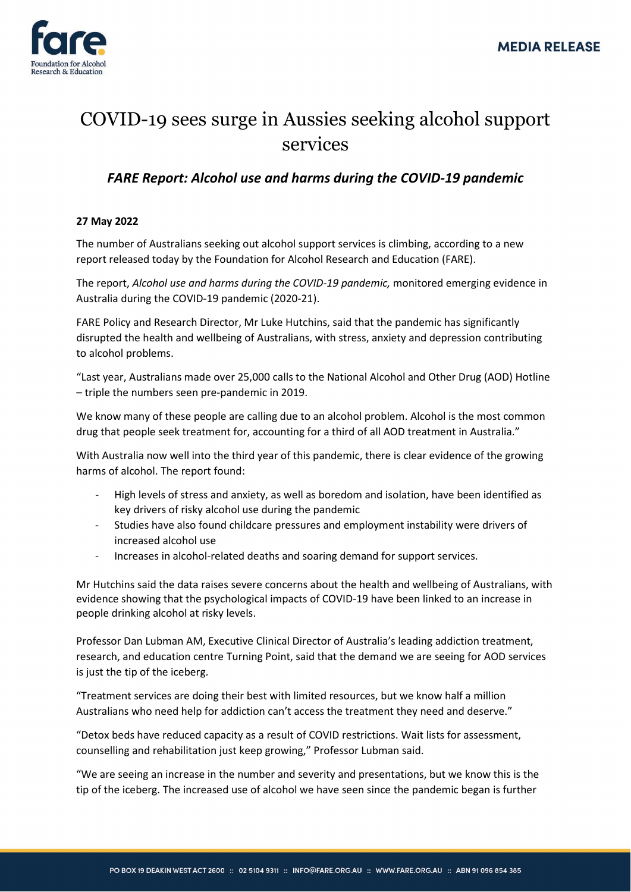

## COVID-19 sees surge in Aussies seeking alcohol support services

## *FARE Report: Alcohol use and harms during the COVID-19 pandemic*

## **27 May 2022**

The number of Australians seeking out alcohol support services is climbing, according to a new report released today by the Foundation for Alcohol Research and Education (FARE).

The report, *Alcohol use and harms during the COVID-19 pandemic,* monitored emerging evidence in Australia during the COVID-19 pandemic (2020-21).

FARE Policy and Research Director, Mr Luke Hutchins, said that the pandemic has significantly disrupted the health and wellbeing of Australians, with stress, anxiety and depression contributing to alcohol problems.

"Last year, Australians made over 25,000 calls to the National Alcohol and Other Drug (AOD) Hotline – triple the numbers seen pre-pandemic in 2019.

We know many of these people are calling due to an alcohol problem. Alcohol is the most common drug that people seek treatment for, accounting for a third of all AOD treatment in Australia."

With Australia now well into the third year of this pandemic, there is clear evidence of the growing harms of alcohol. The report found:

- High levels of stress and anxiety, as well as boredom and isolation, have been identified as key drivers of risky alcohol use during the pandemic
- Studies have also found childcare pressures and employment instability were drivers of increased alcohol use
- Increases in alcohol-related deaths and soaring demand for support services.

Mr Hutchins said the data raises severe concerns about the health and wellbeing of Australians, with evidence showing that the psychological impacts of COVID-19 have been linked to an increase in people drinking alcohol at risky levels.

Professor Dan Lubman AM, Executive Clinical Director of Australia's leading addiction treatment, research, and education centre Turning Point, said that the demand we are seeing for AOD services is just the tip of the iceberg.

"Treatment services are doing their best with limited resources, but we know half a million Australians who need help for addiction can't access the treatment they need and deserve."

"Detox beds have reduced capacity as a result of COVID restrictions. Wait lists for assessment, counselling and rehabilitation just keep growing," Professor Lubman said.

"We are seeing an increase in the number and severity and presentations, but we know this is the tip of the iceberg. The increased use of alcohol we have seen since the pandemic began is further